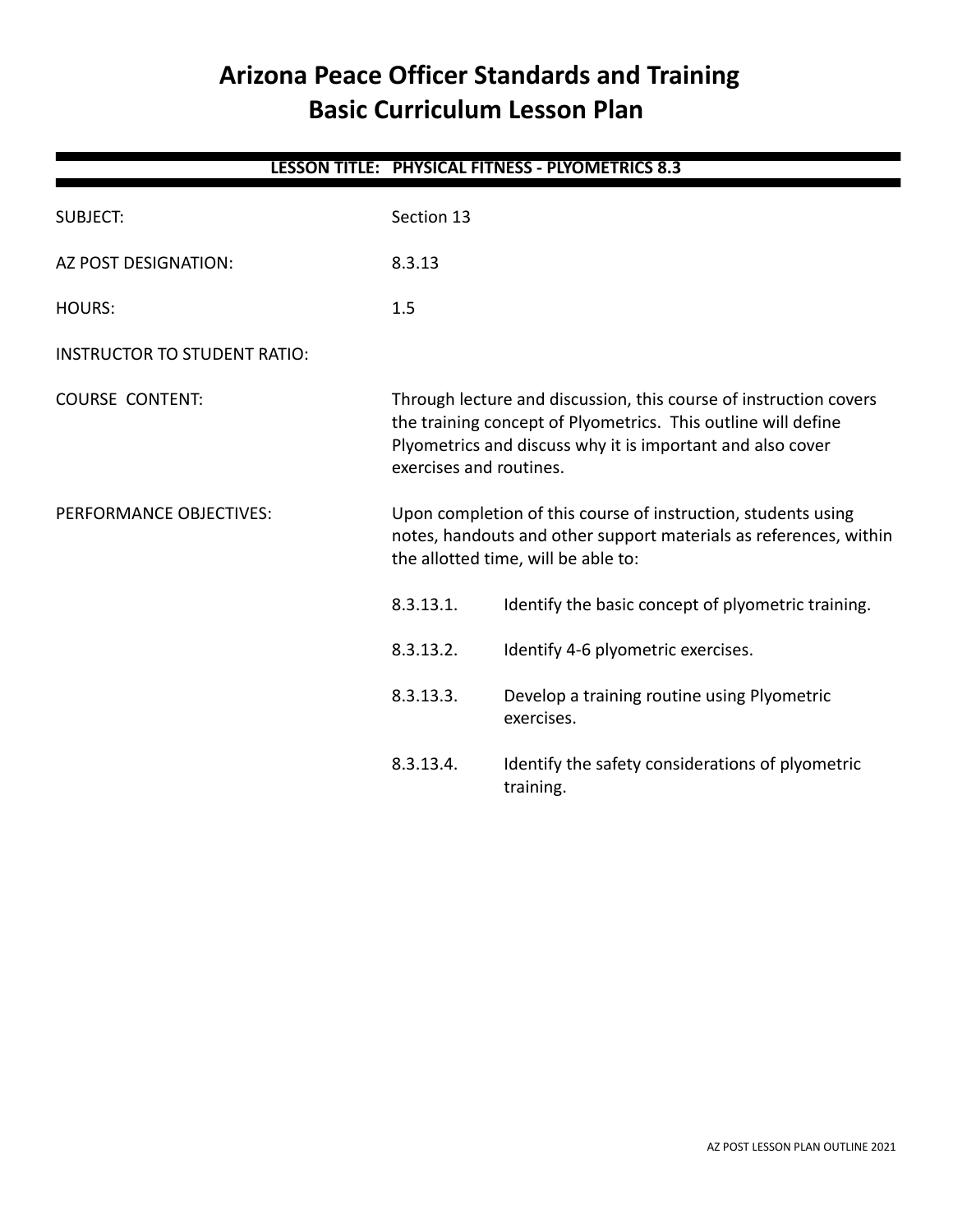# **Arizona Peace Officer Standards and Training Basic Curriculum Lesson Plan**

|                                     |                                                                                                                                                                                                                             | LESSON TITLE: PHYSICAL FITNESS - PLYOMETRICS 8.3              |
|-------------------------------------|-----------------------------------------------------------------------------------------------------------------------------------------------------------------------------------------------------------------------------|---------------------------------------------------------------|
| <b>SUBJECT:</b>                     | Section 13                                                                                                                                                                                                                  |                                                               |
| <b>AZ POST DESIGNATION:</b>         | 8.3.13                                                                                                                                                                                                                      |                                                               |
| <b>HOURS:</b>                       | 1.5                                                                                                                                                                                                                         |                                                               |
| <b>INSTRUCTOR TO STUDENT RATIO:</b> |                                                                                                                                                                                                                             |                                                               |
| <b>COURSE CONTENT:</b>              | Through lecture and discussion, this course of instruction covers<br>the training concept of Plyometrics. This outline will define<br>Plyometrics and discuss why it is important and also cover<br>exercises and routines. |                                                               |
| PERFORMANCE OBJECTIVES:             | Upon completion of this course of instruction, students using<br>notes, handouts and other support materials as references, within<br>the allotted time, will be able to:                                                   |                                                               |
|                                     | 8.3.13.1.                                                                                                                                                                                                                   | Identify the basic concept of plyometric training.            |
|                                     | 8.3.13.2.                                                                                                                                                                                                                   | Identify 4-6 plyometric exercises.                            |
|                                     | 8.3.13.3.                                                                                                                                                                                                                   | Develop a training routine using Plyometric<br>exercises.     |
|                                     | 8.3.13.4.                                                                                                                                                                                                                   | Identify the safety considerations of plyometric<br>training. |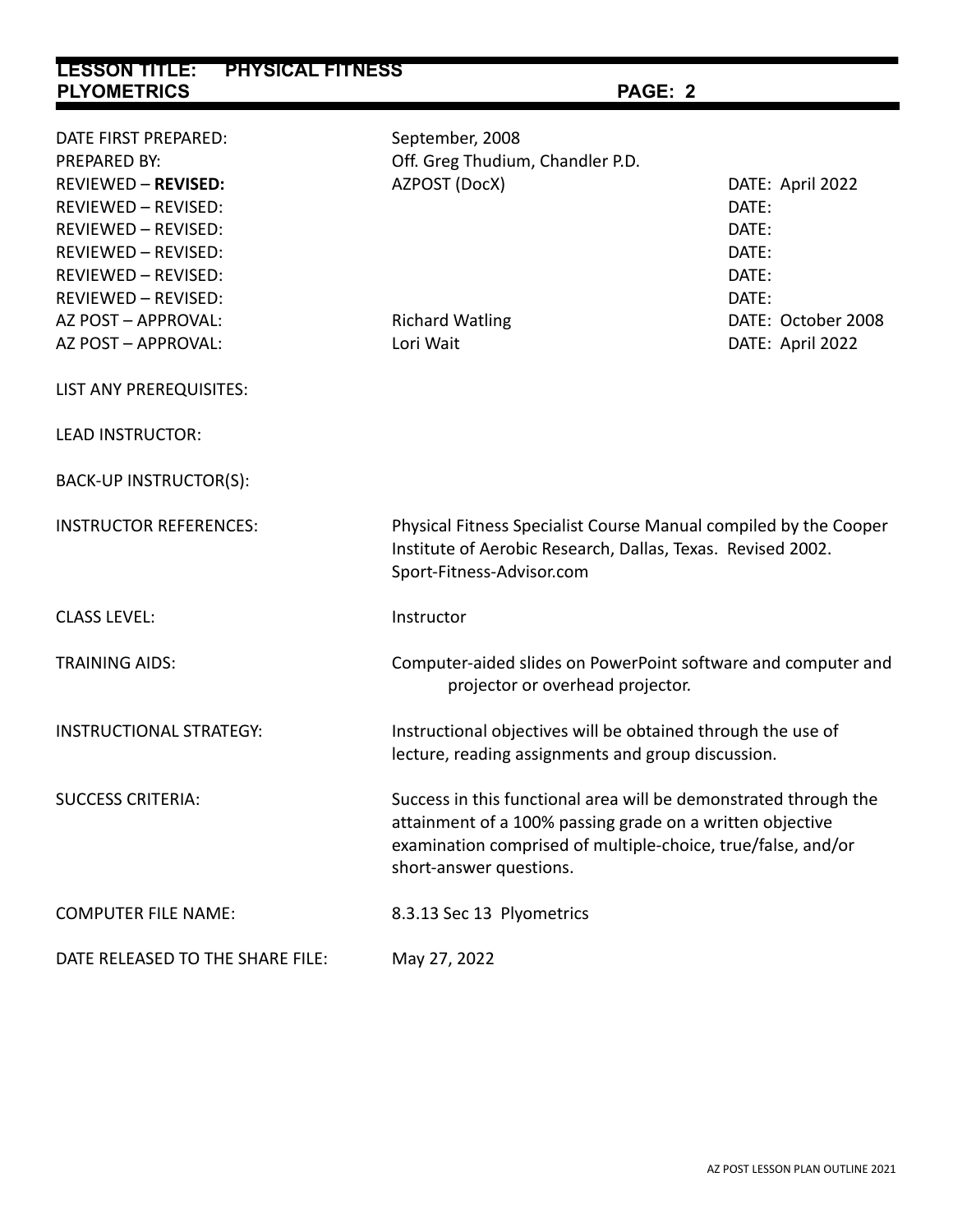| <b>LESSON TITLE:</b><br><b>PHYSICAL FITNESS</b>          |                                                                                                                                                                                                                          |                    |  |  |
|----------------------------------------------------------|--------------------------------------------------------------------------------------------------------------------------------------------------------------------------------------------------------------------------|--------------------|--|--|
| <b>PLYOMETRICS</b>                                       | PAGE: 2                                                                                                                                                                                                                  |                    |  |  |
|                                                          |                                                                                                                                                                                                                          |                    |  |  |
| DATE FIRST PREPARED:                                     | September, 2008                                                                                                                                                                                                          |                    |  |  |
| PREPARED BY:                                             | Off. Greg Thudium, Chandler P.D.                                                                                                                                                                                         |                    |  |  |
| <b>REVIEWED - REVISED:</b>                               | AZPOST (DocX)                                                                                                                                                                                                            | DATE: April 2022   |  |  |
| REVIEWED - REVISED:                                      |                                                                                                                                                                                                                          | DATE:              |  |  |
| REVIEWED - REVISED:                                      |                                                                                                                                                                                                                          | DATE:              |  |  |
| REVIEWED - REVISED:                                      |                                                                                                                                                                                                                          | DATE:              |  |  |
| <b>REVIEWED - REVISED:</b><br><b>REVIEWED - REVISED:</b> |                                                                                                                                                                                                                          | DATE:<br>DATE:     |  |  |
| AZ POST - APPROVAL:                                      | <b>Richard Watling</b>                                                                                                                                                                                                   | DATE: October 2008 |  |  |
| AZ POST - APPROVAL:                                      | Lori Wait                                                                                                                                                                                                                | DATE: April 2022   |  |  |
|                                                          |                                                                                                                                                                                                                          |                    |  |  |
| LIST ANY PREREQUISITES:                                  |                                                                                                                                                                                                                          |                    |  |  |
| <b>LEAD INSTRUCTOR:</b>                                  |                                                                                                                                                                                                                          |                    |  |  |
| BACK-UP INSTRUCTOR(S):                                   |                                                                                                                                                                                                                          |                    |  |  |
| <b>INSTRUCTOR REFERENCES:</b>                            | Physical Fitness Specialist Course Manual compiled by the Cooper<br>Institute of Aerobic Research, Dallas, Texas. Revised 2002.<br>Sport-Fitness-Advisor.com                                                             |                    |  |  |
| <b>CLASS LEVEL:</b>                                      | Instructor                                                                                                                                                                                                               |                    |  |  |
| <b>TRAINING AIDS:</b>                                    | Computer-aided slides on PowerPoint software and computer and<br>projector or overhead projector.                                                                                                                        |                    |  |  |
| <b>INSTRUCTIONAL STRATEGY:</b>                           | Instructional objectives will be obtained through the use of<br>lecture, reading assignments and group discussion.                                                                                                       |                    |  |  |
| <b>SUCCESS CRITERIA:</b>                                 | Success in this functional area will be demonstrated through the<br>attainment of a 100% passing grade on a written objective<br>examination comprised of multiple-choice, true/false, and/or<br>short-answer questions. |                    |  |  |
| <b>COMPUTER FILE NAME:</b>                               | 8.3.13 Sec 13 Plyometrics                                                                                                                                                                                                |                    |  |  |
| DATE RELEASED TO THE SHARE FILE:                         | May 27, 2022                                                                                                                                                                                                             |                    |  |  |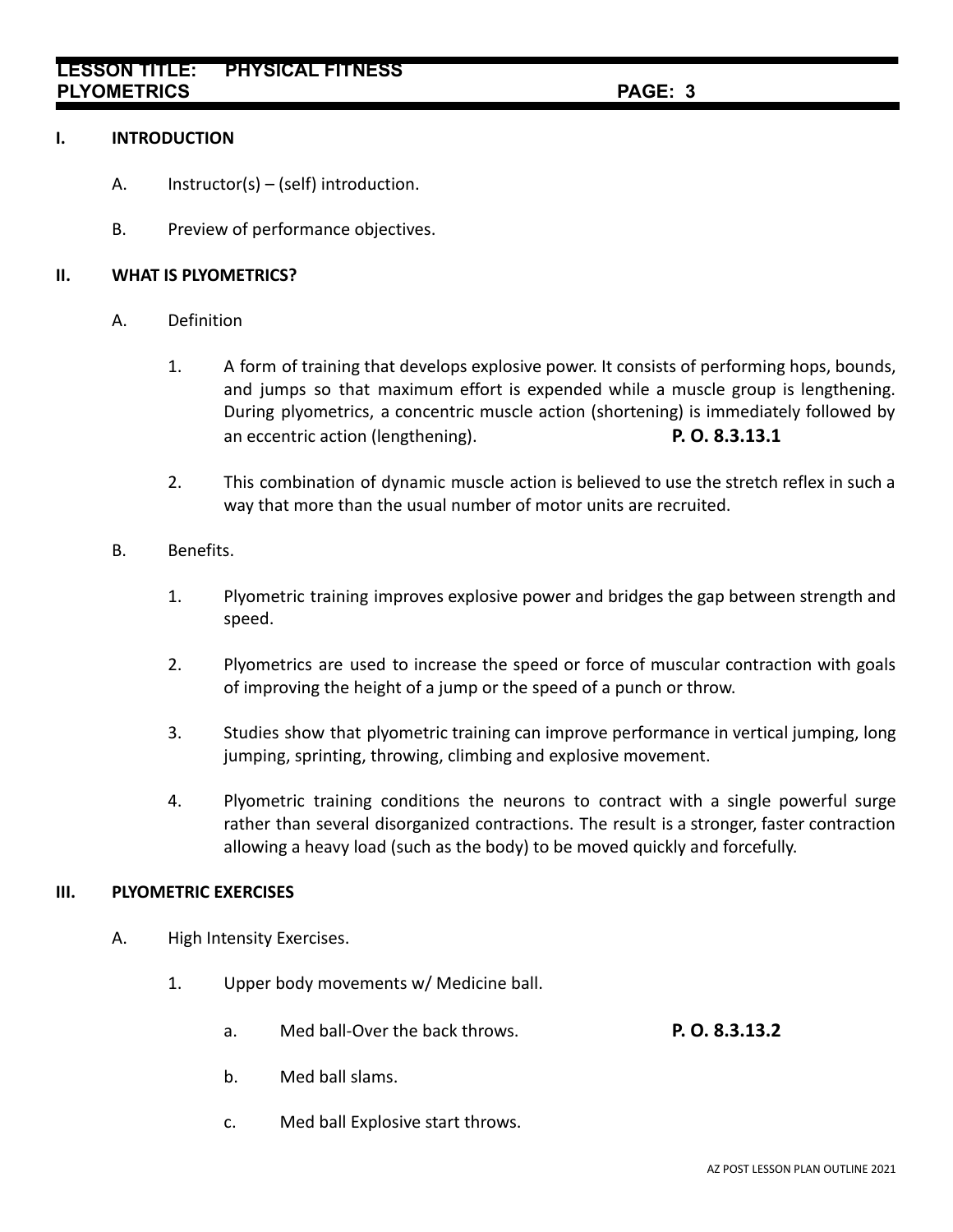# **I. INTRODUCTION**

- A. Instructor(s) (self) introduction.
- B. Preview of performance objectives.

# **II. WHAT IS PLYOMETRICS?**

- A. Definition
	- 1. A form of training that develops explosive power. It consists of performing hops, bounds, and jumps so that maximum effort is expended while a muscle group is lengthening. During plyometrics, a concentric muscle action (shortening) is immediately followed by an eccentric action (lengthening). **P. O. 8.3.13.1**
	- 2. This combination of dynamic muscle action is believed to use the stretch reflex in such a way that more than the usual number of motor units are recruited.
- B. Benefits.
	- 1. Plyometric training improves explosive power and bridges the gap between strength and speed.
	- 2. Plyometrics are used to increase the speed or force of muscular contraction with goals of improving the height of a jump or the speed of a punch or throw.
	- 3. Studies show that plyometric training can improve performance in vertical jumping, long jumping, sprinting, throwing, climbing and explosive movement.
	- 4. Plyometric training conditions the neurons to contract with a single powerful surge rather than several disorganized contractions. The result is a stronger, faster contraction allowing a heavy load (such as the body) to be moved quickly and forcefully.

# **III. PLYOMETRIC EXERCISES**

- A. High Intensity Exercises.
	- 1. Upper body movements w/ Medicine ball.
		- a. Med ball-Over the back throws. **P. O. 8.3.13.2**
		- b. Med ball slams.
		- c. Med ball Explosive start throws.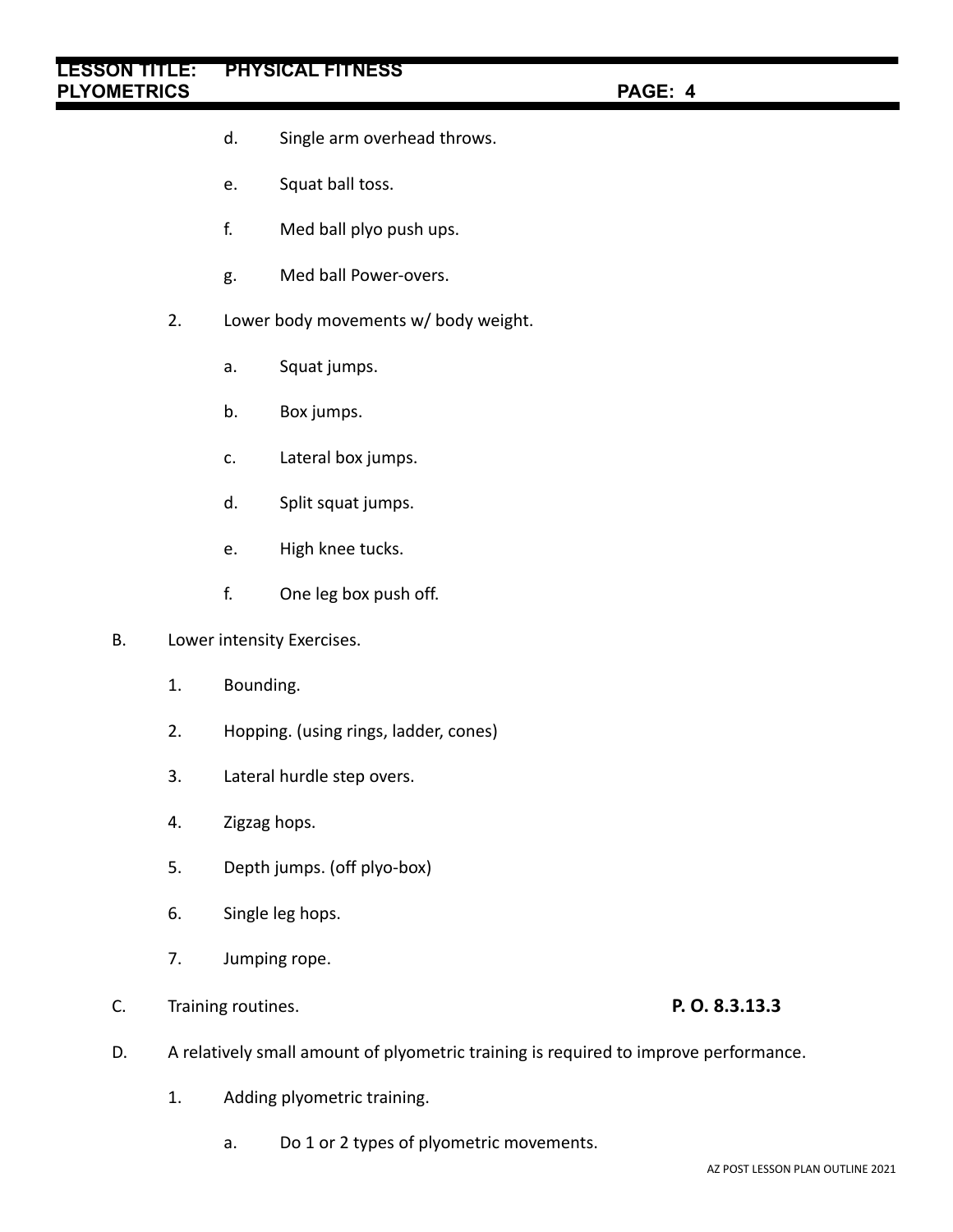# **LESSON TITLE: PHYSICAL FITNESS PLYOMETRICS PAGE: 4**

- d. Single arm overhead throws.
- e. Squat ball toss.
- f. Med ball plyo push ups.
- g. Med ball Power-overs.
- 2. Lower body movements w/ body weight.
	- a. Squat jumps.
	- b. Box jumps.
	- c. Lateral box jumps.
	- d. Split squat jumps.
	- e. High knee tucks.
	- f. One leg box push off.
- B. Lower intensity Exercises.
	- 1. Bounding.
	- 2. Hopping. (using rings, ladder, cones)
	- 3. Lateral hurdle step overs.
	- 4. Zigzag hops.
	- 5. Depth jumps. (off plyo-box)
	- 6. Single leg hops.
	- 7. Jumping rope.
- C. Training routines. **P. O. 8.3.13.3**

- D. A relatively small amount of plyometric training is required to improve performance.
	- 1. Adding plyometric training.
		- a. Do 1 or 2 types of plyometric movements.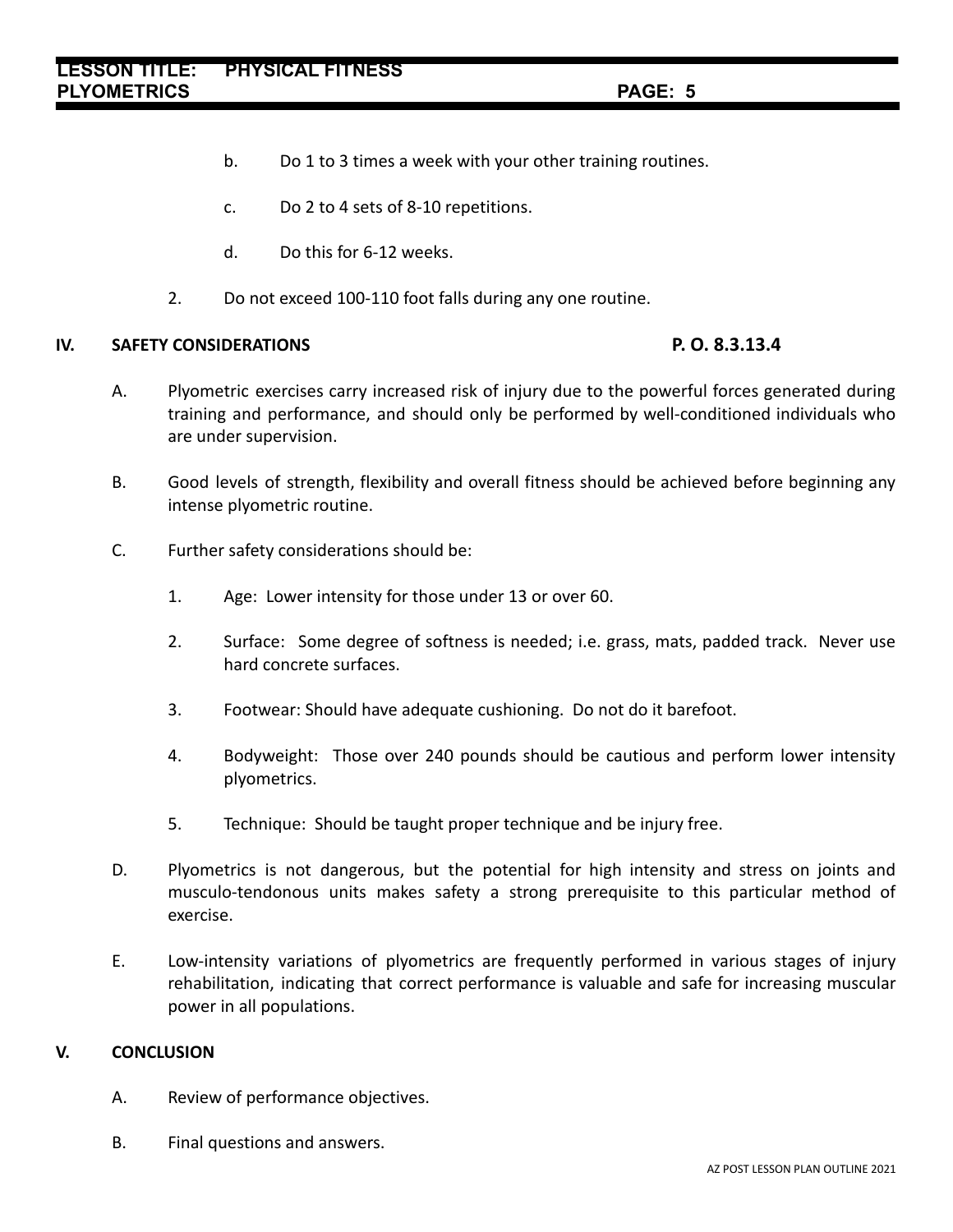- b. Do 1 to 3 times a week with your other training routines.
- c. Do 2 to 4 sets of 8-10 repetitions.
- d. Do this for 6-12 weeks.
- 2. Do not exceed 100-110 foot falls during any one routine.

# **IV. SAFETY CONSIDERATIONS P. O. 8.3.13.4**

- A. Plyometric exercises carry increased risk of injury due to the powerful forces generated during training and performance, and should only be performed by well-conditioned individuals who are under supervision.
- B. Good levels of strength, flexibility and overall fitness should be achieved before beginning any intense plyometric routine.
- C. Further safety considerations should be:
	- 1. Age: Lower intensity for those under 13 or over 60.
	- 2. Surface: Some degree of softness is needed; i.e. grass, mats, padded track. Never use hard concrete surfaces.
	- 3. Footwear: Should have adequate cushioning. Do not do it barefoot.
	- 4. Bodyweight: Those over 240 pounds should be cautious and perform lower intensity plyometrics.
	- 5. Technique: Should be taught proper technique and be injury free.
- D. Plyometrics is not dangerous, but the potential for high intensity and stress on joints and musculo-tendonous units makes safety a strong prerequisite to this particular method of exercise.
- E. Low-intensity variations of plyometrics are frequently performed in various stages of injury rehabilitation, indicating that correct performance is valuable and safe for increasing muscular power in all populations.

# **V. CONCLUSION**

- A. Review of performance objectives.
- B. Final questions and answers.